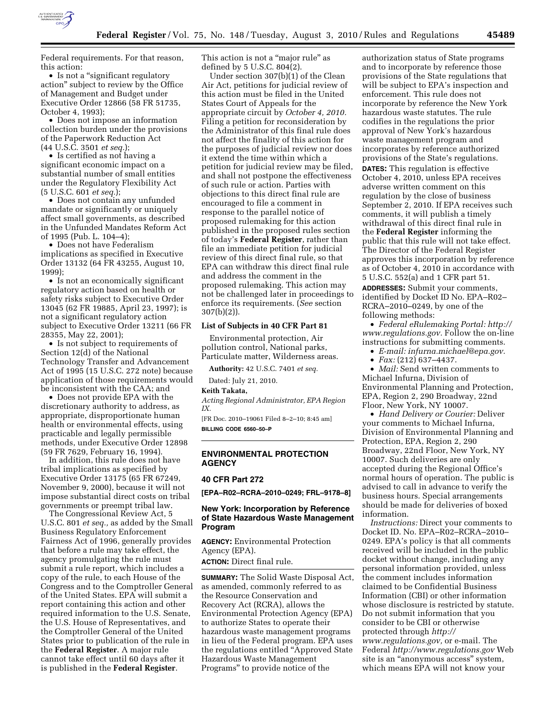

Federal requirements. For that reason, this action:

• Is not a "significant regulatory action'' subject to review by the Office of Management and Budget under Executive Order 12866 (58 FR 51735, October 4, 1993);

• Does not impose an information collection burden under the provisions of the Paperwork Reduction Act (44 U.S.C. 3501 *et seq.*);

• Is certified as not having a significant economic impact on a substantial number of small entities under the Regulatory Flexibility Act (5 U.S.C. 601 *et seq.*);

• Does not contain any unfunded mandate or significantly or uniquely affect small governments, as described in the Unfunded Mandates Reform Act of 1995 (Pub. L. 104–4);

• Does not have Federalism implications as specified in Executive Order 13132 (64 FR 43255, August 10, 1999);

• Is not an economically significant regulatory action based on health or safety risks subject to Executive Order 13045 (62 FR 19885, April 23, 1997); is not a significant regulatory action subject to Executive Order 13211 (66 FR 28355, May 22, 2001);

• Is not subject to requirements of Section 12(d) of the National Technology Transfer and Advancement Act of 1995 (15 U.S.C. 272 note) because application of those requirements would be inconsistent with the CAA; and

• Does not provide EPA with the discretionary authority to address, as appropriate, disproportionate human health or environmental effects, using practicable and legally permissible methods, under Executive Order 12898 (59 FR 7629, February 16, 1994).

In addition, this rule does not have tribal implications as specified by Executive Order 13175 (65 FR 67249, November 9, 2000), because it will not impose substantial direct costs on tribal governments or preempt tribal law.

The Congressional Review Act, 5 U.S.C. 801 *et seq.,* as added by the Small Business Regulatory Enforcement Fairness Act of 1996, generally provides that before a rule may take effect, the agency promulgating the rule must submit a rule report, which includes a copy of the rule, to each House of the Congress and to the Comptroller General of the United States. EPA will submit a report containing this action and other required information to the U.S. Senate, the U.S. House of Representatives, and the Comptroller General of the United States prior to publication of the rule in the **Federal Register**. A major rule cannot take effect until 60 days after it is published in the **Federal Register**.

This action is not a "major rule" as defined by 5 U.S.C. 804(2).

Under section 307(b)(1) of the Clean Air Act, petitions for judicial review of this action must be filed in the United States Court of Appeals for the appropriate circuit by *October 4, 2010.*  Filing a petition for reconsideration by the Administrator of this final rule does not affect the finality of this action for the purposes of judicial review nor does it extend the time within which a petition for judicial review may be filed, and shall not postpone the effectiveness of such rule or action. Parties with objections to this direct final rule are encouraged to file a comment in response to the parallel notice of proposed rulemaking for this action published in the proposed rules section of today's **Federal Register**, rather than file an immediate petition for judicial review of this direct final rule, so that EPA can withdraw this direct final rule and address the comment in the proposed rulemaking. This action may not be challenged later in proceedings to enforce its requirements. (*See* section 307(b)(2)).

#### **List of Subjects in 40 CFR Part 81**

Environmental protection, Air pollution control, National parks, Particulate matter, Wilderness areas.

**Authority:** 42 U.S.C. 7401 *et seq.* 

Dated: July 21, 2010.

#### **Keith Takata,**

*Acting Regional Administrator, EPA Region IX.* 

[FR Doc. 2010–19061 Filed 8–2–10; 8:45 am] **BILLING CODE 6560–50–P** 

## **ENVIRONMENTAL PROTECTION AGENCY**

## **40 CFR Part 272**

**[EPA–R02–RCRA–2010–0249; FRL–9178–8]** 

## **New York: Incorporation by Reference of State Hazardous Waste Management Program**

**AGENCY:** Environmental Protection Agency (EPA).

**ACTION:** Direct final rule.

**SUMMARY:** The Solid Waste Disposal Act, as amended, commonly referred to as the Resource Conservation and Recovery Act (RCRA), allows the Environmental Protection Agency (EPA) to authorize States to operate their hazardous waste management programs in lieu of the Federal program. EPA uses the regulations entitled ''Approved State Hazardous Waste Management Programs'' to provide notice of the

authorization status of State programs and to incorporate by reference those provisions of the State regulations that will be subject to EPA's inspection and enforcement. This rule does not incorporate by reference the New York hazardous waste statutes. The rule codifies in the regulations the prior approval of New York's hazardous waste management program and incorporates by reference authorized provisions of the State's regulations. **DATES:** This regulation is effective October 4, 2010, unless EPA receives adverse written comment on this regulation by the close of business September 2, 2010. If EPA receives such comments, it will publish a timely withdrawal of this direct final rule in the **Federal Register** informing the public that this rule will not take effect. The Director of the Federal Register approves this incorporation by reference as of October 4, 2010 in accordance with 5 U.S.C. 552(a) and 1 CFR part 51. **ADDRESSES:** Submit your comments, identified by Docket ID No. EPA–R02– RCRA–2010–0249, by one of the following methods:

• *Federal eRulemaking Portal: [http://](http://www.regulations.gov)  [www.regulations.gov.](http://www.regulations.gov)* Follow the on-line instructions for submitting comments.

• *E-mail: [infurna.michael@epa.gov.](mailto:infurna.michael@epa.gov)* 

• *Fax:* (212) 637–4437.

• *Mail:* Send written comments to Michael Infurna, Division of Environmental Planning and Protection, EPA, Region 2, 290 Broadway, 22nd Floor, New York, NY 10007.

• *Hand Delivery or Courier:* Deliver your comments to Michael Infurna, Division of Environmental Planning and Protection, EPA, Region 2, 290 Broadway, 22nd Floor, New York, NY 10007. Such deliveries are only accepted during the Regional Office's normal hours of operation. The public is advised to call in advance to verify the business hours. Special arrangements should be made for deliveries of boxed information.

*Instructions:* Direct your comments to Docket ID. No. EPA–R02–RCRA–2010– 0249. EPA's policy is that all comments received will be included in the public docket without change, including any personal information provided, unless the comment includes information claimed to be Confidential Business Information (CBI) or other information whose disclosure is restricted by statute. Do not submit information that you consider to be CBI or otherwise protected through *[http://](http://www.regulations.gov)  [www.regulations.gov,](http://www.regulations.gov)* or e-mail. The Federal *<http://www.regulations.gov>*Web site is an "anonymous access" system, which means EPA will not know your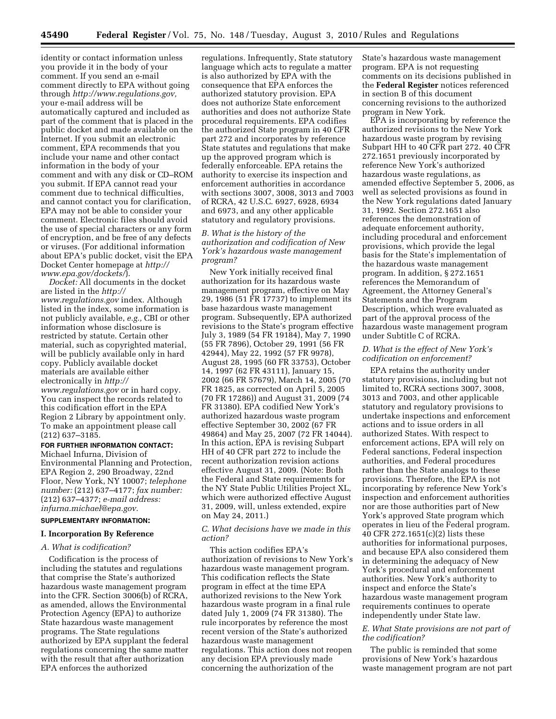identity or contact information unless you provide it in the body of your comment. If you send an e-mail comment directly to EPA without going through *[http://www.regulations.gov,](http://www.regulations.gov)*  your e-mail address will be automatically captured and included as part of the comment that is placed in the public docket and made available on the Internet. If you submit an electronic comment, EPA recommends that you include your name and other contact information in the body of your comment and with any disk or CD–ROM you submit. If EPA cannot read your comment due to technical difficulties, and cannot contact you for clarification, EPA may not be able to consider your comment. Electronic files should avoid the use of special characters or any form of encryption, and be free of any defects or viruses. (For additional information about EPA's public docket, visit the EPA Docket Center homepage at *[http://](http://www.epa.gov/dockets/) [www.epa.gov/dockets/](http://www.epa.gov/dockets/)*).

*Docket:* All documents in the docket are listed in the *[http://](http://www.regulations.gov) [www.regulations.gov](http://www.regulations.gov)* index. Although listed in the index, some information is not publicly available, *e.g.,* CBI or other information whose disclosure is restricted by statute. Certain other material, such as copyrighted material, will be publicly available only in hard copy. Publicly available docket materials are available either electronically in *[http://](http://www.regulations.gov) [www.regulations.gov](http://www.regulations.gov)* or in hard copy. You can inspect the records related to this codification effort in the EPA Region 2 Library by appointment only. To make an appointment please call (212) 637–3185.

#### **FOR FURTHER INFORMATION CONTACT:**

Michael Infurna, Division of Environmental Planning and Protection, EPA Region 2, 290 Broadway, 22nd Floor, New York, NY 10007; *telephone number:* (212) 637–4177; *fax number:*  (212) 637–4377; *e-mail address: [infurna.michael@epa.gov.](mailto:infurna.michael@epa.gov)* 

#### **SUPPLEMENTARY INFORMATION:**

#### **I. Incorporation By Reference**

## *A. What is codification?*

Codification is the process of including the statutes and regulations that comprise the State's authorized hazardous waste management program into the CFR. Section 3006(b) of RCRA, as amended, allows the Environmental Protection Agency (EPA) to authorize State hazardous waste management programs. The State regulations authorized by EPA supplant the federal regulations concerning the same matter with the result that after authorization EPA enforces the authorized

regulations. Infrequently, State statutory language which acts to regulate a matter is also authorized by EPA with the consequence that EPA enforces the authorized statutory provision. EPA does not authorize State enforcement authorities and does not authorize State procedural requirements. EPA codifies the authorized State program in 40 CFR part 272 and incorporates by reference State statutes and regulations that make up the approved program which is federally enforceable. EPA retains the authority to exercise its inspection and enforcement authorities in accordance with sections 3007, 3008, 3013 and 7003 of RCRA, 42 U.S.C. 6927, 6928, 6934 and 6973, and any other applicable statutory and regulatory provisions.

## *B. What is the history of the authorization and codification of New York's hazardous waste management program?*

New York initially received final authorization for its hazardous waste management program, effective on May 29, 1986 (51 FR 17737) to implement its base hazardous waste management program. Subsequently, EPA authorized revisions to the State's program effective July 3, 1989 (54 FR 19184), May 7, 1990 (55 FR 7896), October 29, 1991 (56 FR 42944), May 22, 1992 (57 FR 9978), August 28, 1995 (60 FR 33753), October 14, 1997 (62 FR 43111), January 15, 2002 (66 FR 57679), March 14, 2005 (70 FR 1825, as corrected on April 5, 2005 (70 FR 17286)) and August 31, 2009 (74 FR 31380). EPA codified New York's authorized hazardous waste program effective September 30, 2002 (67 FR 49864) and May 25, 2007 (72 FR 14044). In this action, EPA is revising Subpart HH of 40 CFR part 272 to include the recent authorization revision actions effective August 31, 2009. (Note: Both the Federal and State requirements for the NY State Public Utilities Project XL, which were authorized effective August 31, 2009, will, unless extended, expire on May 24, 2011.)

### *C. What decisions have we made in this action?*

This action codifies EPA's authorization of revisions to New York's hazardous waste management program. This codification reflects the State program in effect at the time EPA authorized revisions to the New York hazardous waste program in a final rule dated July 1, 2009 (74 FR 31380). The rule incorporates by reference the most recent version of the State's authorized hazardous waste management regulations. This action does not reopen any decision EPA previously made concerning the authorization of the

State's hazardous waste management program. EPA is not requesting comments on its decisions published in the **Federal Register** notices referenced in section B of this document concerning revisions to the authorized program in New York.

EPA is incorporating by reference the authorized revisions to the New York hazardous waste program by revising Subpart HH to 40 CFR part 272. 40 CFR 272.1651 previously incorporated by reference New York's authorized hazardous waste regulations, as amended effective September 5, 2006, as well as selected provisions as found in the New York regulations dated January 31, 1992. Section 272.1651 also references the demonstration of adequate enforcement authority, including procedural and enforcement provisions, which provide the legal basis for the State's implementation of the hazardous waste management program. In addition, § 272.1651 references the Memorandum of Agreement, the Attorney General's Statements and the Program Description, which were evaluated as part of the approval process of the hazardous waste management program under Subtitle C of RCRA.

### *D. What is the effect of New York's codification on enforcement?*

EPA retains the authority under statutory provisions, including but not limited to, RCRA sections 3007, 3008, 3013 and 7003, and other applicable statutory and regulatory provisions to undertake inspections and enforcement actions and to issue orders in all authorized States. With respect to enforcement actions, EPA will rely on Federal sanctions, Federal inspection authorities, and Federal procedures rather than the State analogs to these provisions. Therefore, the EPA is not incorporating by reference New York's inspection and enforcement authorities nor are those authorities part of New York's approved State program which operates in lieu of the Federal program. 40 CFR 272.1651(c)(2) lists these authorities for informational purposes, and because EPA also considered them in determining the adequacy of New York's procedural and enforcement authorities. New York's authority to inspect and enforce the State's hazardous waste management program requirements continues to operate independently under State law.

## *E. What State provisions are not part of the codification?*

The public is reminded that some provisions of New York's hazardous waste management program are not part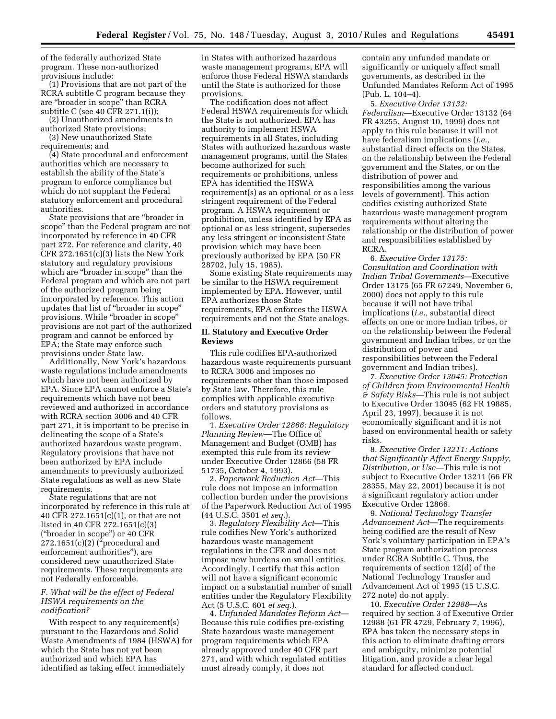of the federally authorized State program. These non-authorized provisions include:

(1) Provisions that are not part of the RCRA subtitle C program because they are ''broader in scope'' than RCRA subtitle C (see 40 CFR 271.1(i));

(2) Unauthorized amendments to authorized State provisions;

(3) New unauthorized State requirements; and

(4) State procedural and enforcement authorities which are necessary to establish the ability of the State's program to enforce compliance but which do not supplant the Federal statutory enforcement and procedural authorities.

State provisions that are ''broader in scope'' than the Federal program are not incorporated by reference in 40 CFR part 272. For reference and clarity, 40 CFR  $272.1651(c)(3)$  lists the New York statutory and regulatory provisions which are "broader in scope" than the Federal program and which are not part of the authorized program being incorporated by reference. This action updates that list of ''broader in scope'' provisions. While ''broader in scope'' provisions are not part of the authorized program and cannot be enforced by EPA; the State may enforce such provisions under State law.

Additionally, New York's hazardous waste regulations include amendments which have not been authorized by EPA. Since EPA cannot enforce a State's requirements which have not been reviewed and authorized in accordance with RCRA section 3006 and 40 CFR part 271, it is important to be precise in delineating the scope of a State's authorized hazardous waste program. Regulatory provisions that have not been authorized by EPA include amendments to previously authorized State regulations as well as new State requirements.

State regulations that are not incorporated by reference in this rule at 40 CFR 272.1651(c)(1), or that are not listed in 40 CFR 272.1651(c)(3) (''broader in scope'') or 40 CFR 272.1651(c)(2) (''procedural and enforcement authorities''), are considered new unauthorized State requirements. These requirements are not Federally enforceable.

## *F. What will be the effect of Federal HSWA requirements on the codification?*

With respect to any requirement(s) pursuant to the Hazardous and Solid Waste Amendments of 1984 (HSWA) for which the State has not yet been authorized and which EPA has identified as taking effect immediately

in States with authorized hazardous waste management programs, EPA will enforce those Federal HSWA standards until the State is authorized for those provisions.

The codification does not affect Federal HSWA requirements for which the State is not authorized. EPA has authority to implement HSWA requirements in all States, including States with authorized hazardous waste management programs, until the States become authorized for such requirements or prohibitions, unless EPA has identified the HSWA requirement(s) as an optional or as a less stringent requirement of the Federal program. A HSWA requirement or prohibition, unless identified by EPA as optional or as less stringent, supersedes any less stringent or inconsistent State provision which may have been previously authorized by EPA (50 FR 28702, July 15, 1985).

Some existing State requirements may be similar to the HSWA requirement implemented by EPA. However, until EPA authorizes those State requirements, EPA enforces the HSWA requirements and not the State analogs.

#### **II. Statutory and Executive Order Reviews**

This rule codifies EPA-authorized hazardous waste requirements pursuant to RCRA 3006 and imposes no requirements other than those imposed by State law. Therefore, this rule complies with applicable executive orders and statutory provisions as follows.

1. *Executive Order 12866: Regulatory Planning Review*—The Office of Management and Budget (OMB) has exempted this rule from its review under Executive Order 12866 (58 FR 51735, October 4, 1993).

2. *Paperwork Reduction Act*—This rule does not impose an information collection burden under the provisions of the Paperwork Reduction Act of 1995 (44 U.S.C. 3501 *et seq.*).

3. *Regulatory Flexibility Act*—This rule codifies New York's authorized hazardous waste management regulations in the CFR and does not impose new burdens on small entities. Accordingly, I certify that this action will not have a significant economic impact on a substantial number of small entities under the Regulatory Flexibility Act (5 U.S.C. 601 *et seq.*).

4. *Unfunded Mandates Reform Act*— Because this rule codifies pre-existing State hazardous waste management program requirements which EPA already approved under 40 CFR part 271, and with which regulated entities must already comply, it does not

contain any unfunded mandate or significantly or uniquely affect small governments, as described in the Unfunded Mandates Reform Act of 1995 (Pub. L. 104–4).

5. *Executive Order 13132: Federalism*—Executive Order 13132 (64 FR 43255, August 10, 1999) does not apply to this rule because it will not have federalism implications (*i.e.,*  substantial direct effects on the States, on the relationship between the Federal government and the States, or on the distribution of power and responsibilities among the various levels of government). This action codifies existing authorized State hazardous waste management program requirements without altering the relationship or the distribution of power and responsibilities established by RCRA.

6. *Executive Order 13175: Consultation and Coordination with Indian Tribal Governments*—Executive Order 13175 (65 FR 67249, November 6, 2000) does not apply to this rule because it will not have tribal implications (*i.e.,* substantial direct effects on one or more Indian tribes, or on the relationship between the Federal government and Indian tribes, or on the distribution of power and responsibilities between the Federal government and Indian tribes).

7. *Executive Order 13045: Protection of Children from Environmental Health & Safety Risks*—This rule is not subject to Executive Order 13045 (62 FR 19885, April 23, 1997), because it is not economically significant and it is not based on environmental health or safety risks.

8. *Executive Order 13211: Actions that Significantly Affect Energy Supply, Distribution, or Use*—This rule is not subject to Executive Order 13211 (66 FR 28355, May 22, 2001) because it is not a significant regulatory action under Executive Order 12866.

9. *National Technology Transfer Advancement Act*—The requirements being codified are the result of New York's voluntary participation in EPA's State program authorization process under RCRA Subtitle C. Thus, the requirements of section 12(d) of the National Technology Transfer and Advancement Act of 1995 (15 U.S.C. 272 note) do not apply.

10. *Executive Order 12988*—As required by section 3 of Executive Order 12988 (61 FR 4729, February 7, 1996), EPA has taken the necessary steps in this action to eliminate drafting errors and ambiguity, minimize potential litigation, and provide a clear legal standard for affected conduct.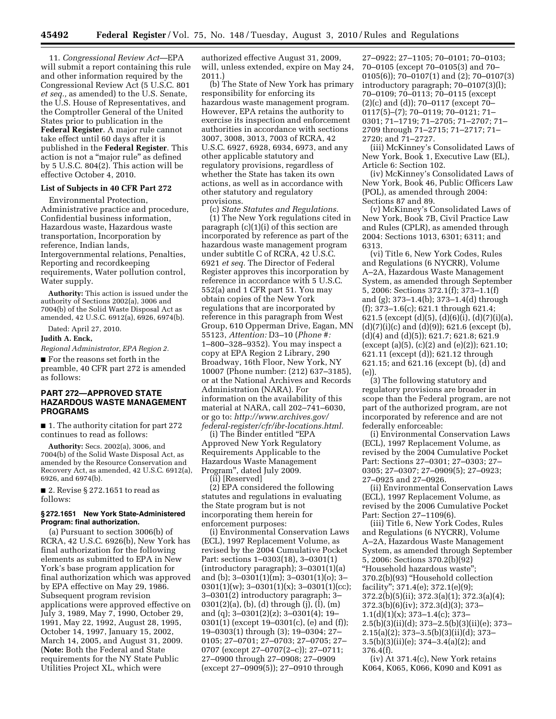11. *Congressional Review Act*—EPA will submit a report containing this rule and other information required by the Congressional Review Act (5 U.S.C. 801 *et seq.,* as amended) to the U.S. Senate, the U.S. House of Representatives, and the Comptroller General of the United States prior to publication in the **Federal Register**. A major rule cannot take effect until 60 days after it is published in the **Federal Register**. This action is not a ''major rule'' as defined by 5 U.S.C. 804(2). This action will be effective October 4, 2010.

## **List of Subjects in 40 CFR Part 272**

Environmental Protection, Administrative practice and procedure, Confidential business information, Hazardous waste, Hazardous waste transportation, Incorporation by reference, Indian lands, Intergovernmental relations, Penalties, Reporting and recordkeeping requirements, Water pollution control, Water supply.

**Authority:** This action is issued under the authority of Sections 2002(a), 3006 and 7004(b) of the Solid Waste Disposal Act as amended, 42 U.S.C. 6912(a), 6926, 6974(b).

Dated: April 27, 2010.

**Judith A. Enck,** 

*Regional Administrator, EPA Region 2.* 

■ For the reasons set forth in the preamble, 40 CFR part 272 is amended as follows:

# **PART 272—APPROVED STATE HAZARDOUS WASTE MANAGEMENT PROGRAMS**

■ 1. The authority citation for part 272 continues to read as follows:

**Authority:** Secs. 2002(a), 3006, and 7004(b) of the Solid Waste Disposal Act, as amended by the Resource Conservation and Recovery Act, as amended, 42 U.S.C. 6912(a), 6926, and 6974(b).

■ 2. Revise § 272.1651 to read as follows:

### **§ 272.1651 New York State-Administered Program: final authorization.**

(a) Pursuant to section 3006(b) of RCRA, 42 U.S.C. 6926(b), New York has final authorization for the following elements as submitted to EPA in New York's base program application for final authorization which was approved by EPA effective on May 29, 1986. Subsequent program revision applications were approved effective on July 3, 1989, May 7, 1990, October 29, 1991, May 22, 1992, August 28, 1995, October 14, 1997, January 15, 2002, March 14, 2005, and August 31, 2009. (**Note:** Both the Federal and State requirements for the NY State Public Utilities Project XL, which were

authorized effective August 31, 2009, will, unless extended, expire on May 24, 2011.)

(b) The State of New York has primary responsibility for enforcing its hazardous waste management program. However, EPA retains the authority to exercise its inspection and enforcement authorities in accordance with sections 3007, 3008, 3013, 7003 of RCRA, 42 U.S.C. 6927, 6928, 6934, 6973, and any other applicable statutory and regulatory provisions, regardless of whether the State has taken its own actions, as well as in accordance with other statutory and regulatory provisions.

(c) *State Statutes and Regulations.*  (1) The New York regulations cited in paragraph (c)(1)(i) of this section are incorporated by reference as part of the hazardous waste management program under subtitle C of RCRA, 42 U.S.C. 6921 *et seq.* The Director of Federal Register approves this incorporation by reference in accordance with 5 U.S.C. 552(a) and 1 CFR part 51. You may obtain copies of the New York regulations that are incorporated by reference in this paragraph from West Group, 610 Opperman Drive, Eagan, MN 55123, *Attention:* D3–10 (*Phone #:*  1–800–328–9352). You may inspect a copy at EPA Region 2 Library, 290 Broadway, 16th Floor, New York, NY 10007 (Phone number: (212) 637–3185), or at the National Archives and Records Administration (NARA). For information on the availability of this material at NARA, call 202–741–6030, or go to: *[http://www.archives.gov/](http://www.archives.gov/federal-register/cfr/ibr-locations.html) [federal-register/cfr/ibr-locations.html.](http://www.archives.gov/federal-register/cfr/ibr-locations.html)* 

(i) The Binder entitled ''EPA Approved New York Regulatory Requirements Applicable to the Hazardous Waste Management Program'', dated July 2009.

(ii) [Reserved] (2) EPA considered the following statutes and regulations in evaluating the State program but is not incorporating them herein for enforcement purposes:

(i) Environmental Conservation Laws (ECL), 1997 Replacement Volume, as revised by the 2004 Cumulative Pocket Part: sections 1–0303(18), 3–0301(1) (introductory paragraph); 3–0301(1)(a) and (b); 3–0301(1)(m); 3–0301(1)(o); 3–  $0301(1)(w)$ ; 3-0301(1)(x); 3-0301(1)(cc); 3–0301(2) introductory paragraph; 3– 0301(2)(a), (b), (d) through (j), (l), (m) and (q); 3–0301(2)(z); 3–0301(4); 19– 0301(1) (except 19–0301(c), (e) and (f)); 19–0303(1) through (3); 19–0304; 27– 0105; 27–0701; 27–0703; 27–0705; 27– 0707 (except 27–0707(2–c)); 27–0711; 27–0900 through 27–0908; 27–0909 (except 27–0909(5)); 27–0910 through

27–0922; 27–1105; 70–0101; 70–0103; 70–0105 (except 70–0105(3) and 70– 0105(6)); 70–0107(1) and (2); 70–0107(3) introductory paragraph; 70–0107(3)(l); 70–0109; 70–0113; 70–0115 (except (2)(c) and (d)); 70–0117 (except 70– 0117(5)–(7); 70–0119; 70–0121; 71– 0301; 71–1719; 71–2705; 71–2707; 71– 2709 through 71–2715; 71–2717; 71– 2720; and 71–2727.

(iii) McKinney's Consolidated Laws of New York, Book 1, Executive Law (EL), Article 6: Section 102.

(iv) McKinney's Consolidated Laws of New York, Book 46, Public Officers Law (POL), as amended through 2004: Sections 87 and 89.

(v) McKinney's Consolidated Laws of New York, Book 7B, Civil Practice Law and Rules (CPLR), as amended through 2004: Sections 1013, 6301; 6311; and 6313.

(vi) Title 6, New York Codes, Rules and Regulations (6 NYCRR), Volume A–2A, Hazardous Waste Management System, as amended through September 5, 2006: Sections 372.1(f); 373–1.1(f) and (g); 373–1.4(b); 373–1.4(d) through (f); 373–1.6(c); 621.1 through 621.4; 621.5 (except (d)(5), (d)(6)(i), (d)(7)(i)(a),  $(d)(7)(i)(c)$  and  $(d)(9)$ ; 621.6 (except (b), (d)(4) and (d)(5)); 621.7; 621.8; 621.9 (except (a)(5), (c)(2) and (e)(2)); 621.10; 621.11 (except (d)); 621.12 through 621.15; and 621.16 (except (b), (d) and  $(e)$ 

(3) The following statutory and regulatory provisions are broader in scope than the Federal program, are not part of the authorized program, are not incorporated by reference and are not federally enforceable:

(i) Environmental Conservation Laws (ECL), 1997 Replacement Volume, as revised by the 2004 Cumulative Pocket Part: Sections 27–0301; 27–0303; 27– 0305; 27–0307; 27–0909(5); 27–0923; 27–0925 and 27–0926.

(ii) Environmental Conservation Laws (ECL), 1997 Replacement Volume, as revised by the 2006 Cumulative Pocket Part: Section 27–1109(6).

(iii) Title 6, New York Codes, Rules and Regulations (6 NYCRR), Volume A–2A, Hazardous Waste Management System, as amended through September 5, 2006: Sections 370.2(b)(92) ''Household hazardous waste''; 370.2(b)(93) ''Household collection facility''; 371.4(e); 372.1(e)(9); 372.2(b)(5)(ii); 372.3(a)(1); 372.3(a)(4); 372.3(b)(6)(iv); 372.3(d)(3); 373– 1.1(d)(1)(x); 373–1.4(c); 373– 2.5(b)(3)(ii)(d); 373–2.5(b)(3)(ii)(e); 373– 2.15(a)(2); 373–3.5(b)(3)(ii)(d); 373– 3.5(b)(3)(ii)(e); 374–3.4(a)(2); and 376.4(f).

(iv) At 371.4(c), New York retains K064, K065, K066, K090 and K091 as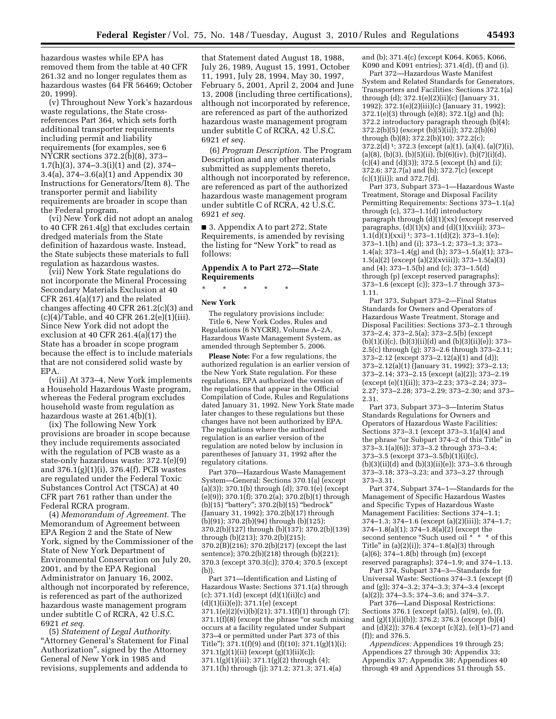hazardous wastes while EPA has removed them from the table at 40 CFR 261.32 and no longer regulates them as hazardous wastes (64 FR 56469; October 20, 1999).

(v) Throughout New York's hazardous waste regulations, the State crossreferences Part 364, which sets forth additional transporter requirements including permit and liability requirements (for examples, see 6 NYCRR sections 372.2(b)(8), 373– 1.7(h)(3), 374–3.3(i)(1) and (2), 374– 3.4(a), 374–3.6(a)(1) and Appendix 30 Instructions for Generators/Item 8). The transporter permit and liability requirements are broader in scope than the Federal program.

(vi) New York did not adopt an analog to 40 CFR 261.4(g) that excludes certain dredged materials from the State definition of hazardous waste. Instead, the State subjects these materials to full regulation as hazardous wastes.

(vii) New York State regulations do not incorporate the Mineral Processing Secondary Materials Exclusion at 40 CFR 261.4(a)(17) and the related changes affecting 40 CFR 261.2(c)(3) and (c)(4)/Table, and 40 CFR 261.2(e)(1)(iii). Since New York did not adopt the exclusion at 40 CFR 261.4(a)(17) the State has a broader in scope program because the effect is to include materials that are not considered solid waste by EPA.

(viii) At 373–4, New York implements a Household Hazardous Waste program, whereas the Federal program excludes household waste from regulation as hazardous waste at 261.4(b)(1).

(ix) The following New York provisions are broader in scope because they include requirements associated with the regulation of PCB waste as a state-only hazardous waste: 372.1(e)(9) and 376.1(g)(1)(i), 376.4(f). PCB wastes are regulated under the Federal Toxic Substances Control Act (TSCA) at 40 CFR part 761 rather than under the Federal RCRA program.

(4) *Memorandum of Agreement.* The Memorandum of Agreement between EPA Region 2 and the State of New York, signed by the Commissioner of the State of New York Department of Environmental Conservation on July 20, 2001, and by the EPA Regional Administrator on January 16, 2002, although not incorporated by reference, is referenced as part of the authorized hazardous waste management program under subtitle C of RCRA, 42 U.S.C. 6921 *et seq.* 

(5) *Statement of Legal Authority.*  ''Attorney General's Statement for Final Authorization'', signed by the Attorney General of New York in 1985 and revisions, supplements and addenda to

that Statement dated August 18, 1988, July 26, 1989, August 15, 1991, October 11, 1991, July 28, 1994, May 30, 1997, February 5, 2001, April 2, 2004 and June 13, 2008 (including three certifications), although not incorporated by reference, are referenced as part of the authorized hazardous waste management program under subtitle C of RCRA, 42 U.S.C. 6921 *et seq.* 

(6) *Program Description.* The Program Description and any other materials submitted as supplements thereto, although not incorporated by reference, are referenced as part of the authorized hazardous waste management program under subtitle C of RCRA, 42 U.S.C. 6921 *et seq.* 

■ 3. Appendix A to part 272, State Requirements, is amended by revising the listing for ''New York'' to read as follows:

# **Appendix A to Part 272—State Requirements**

\* \* \* \* \*

### **New York**

The regulatory provisions include: Title 6, New York Codes, Rules and Regulations (6 NYCRR), Volume A–2A, Hazardous Waste Management System, as amended through September 5, 2006.

**Please Note:** For a few regulations, the authorized regulation is an earlier version of the New York State regulation. For these regulations, EPA authorized the version of the regulations that appear in the Official Compilation of Code, Rules and Regulations dated January 31, 1992. New York State made later changes to these regulations but these changes have not been authorized by EPA. The regulations where the authorized regulation is an earlier version of the regulation are noted below by inclusion in parentheses of January 31, 1992 after the regulatory citations.

Part 370—Hazardous Waste Management System—General: Sections 370.1(a) (except (a)(3)); 370.1(b) through (d); 370.1(e) (except (e)(9)); 370.1(f); 370.2(a); 370.2(b)(1) through (b)(15) ''battery''; 370.2(b)(15) ''bedrock'' (January 31, 1992); 370.2(b)(17) through (b)(91); 370.2(b)(94) through (b)(125); 370.2(b)(127) through (b)(137); 370.2(b)(139) through (b)(213); 370.2(b)(215); 370.2(B)(216); 370.2(b)(217) (except the last sentence); 370.2(b)(218) through (b)(221); 370.3 (except 370.3(c)); 370.4; 370.5 (except (b)).

Part 371—Identification and Listing of Hazardous Waste: Sections 371.1(a) through (c);  $371.1(d)$  (except  $(d)(1)(ii)(c)$  and  $(d)(1)(ii)(e)$ ; 371.1 $(e)(except)$  $371.1(e)(2)(vi)(b)(21); 371.1(f)(1)$  through (7);  $371.1(f)(8)$  (except the phrase "or such mixing occurs at a facility regulated under Subpart 373–4 or permitted under Part 373 of this Title");  $371.1(f)(9)$  and  $(f)(10)$ ;  $371.1(g)(1)(i)$ ; 371.1(g)(1)(ii) (except (g)(1)(ii)(c)); 371.1(g)(1)(iii); 371.1(g)(2) through (4); 371.1(h) through (j); 371.2; 371.3; 371.4(a)

and (b); 371.4(c) (except K064, K065, K066, K090 and K091 entries); 371.4(d), (f) and (i).

Part 372—Hazardous Waste Manifest System and Related Standards for Generators, Transporters and Facilities: Sections 372.1(a) through (d); 372.1(e)(2)(ii)(c) (January 31, 1992); 372.1(e)(2)(iii)(c) (January 31, 1992); 372.1(e)(3) through (e)(8); 372.1(g) and (h); 372.2 introductory paragraph through (b)(4); 372.2(b)(5) (except (b)(5)(ii)); 372.2(b)(6) through (b)(8); 372.2(b)(10); 372.2(c);  $372.2\text{d}$ )<sup>1</sup>;  $372.3$  (except (a)(1), (a)(4), (a)(7)(i), (a)(8), (b)(3), (b)(5)(ii), (b)(6)(iv), (b)(7)(i)(d), (c)(4) and (d)(3)); 372.5 (except (h) and (i); 372.6; 372.7(a) and (b); 372.7(c) (except (c)(1)(ii)); and 372.7(d).

Part 373, Subpart 373–1—Hazardous Waste Treatment, Storage and Disposal Facility Permitting Requirements: Sections 373–1.1(a) through (c), 373–1.1(d) introductory paragraph through (d)(1)(xx) (except reserved paragraphs,  $(d)(1)(x)$  and  $(d)(1)(x$ viii); 373- $1.1(d)(1)(xxi)$ <sup>1</sup>; 373-1.1(d)(2); 373-1.1(e); 373–1.1(h) and (i); 373–1.2; 373–1.3; 373– 1.4(a); 373–1.4(g) and (h); 373–1.5(a)(1); 373– 1.5(a)(2) (except (a)(2)(xviii)); 373–1.5(a)(3) and (4); 373–1.5(b) and (c); 373–1.5(d) through (p) (except reserved paragraphs); 373–1.6 (except (c)); 373–1.7 through 373– 1.11.

Part 373, Subpart 373–2—Final Status Standards for Owners and Operators of Hazardous Waste Treatment, Storage and Disposal Facilities: Sections 373–2.1 through 373–2.4; 373–2.5(a); 373–2.5(b) (except  $(b)(1)(i)(c)$ ,  $(b)(3)(ii)(d)$  and  $(b)(3)(ii)(e)$ ); 373– 2.5(c) through (g); 373–2.6 through 373–2.11; 373–2.12 (except 373–2.12(a)(1) and (d)); 373–2.12(a)(1) (January 31, 1992); 373–2.13; 373–2.14; 373–2.15 (except (a)(2)); 373–2.19 (except (e)(1)(ii)); 373–2.23; 373–2.24; 373– 2.27; 373–2.28; 373–2.29; 373–2.30; and 373– 2.31.

Part 373, Subpart 373–3—Interim Status Standards Regulations for Owners and Operators of Hazardous Waste Facilities: Sections 373–3.1 (except 373–3.1(a)(4) and the phrase "or Subpart 374–2 of this Title" in 373–3.1(a)(6)); 373–3.2 through 373–3.4;  $373-3.5$  (except  $373-3.5(b)(1)(i)(c)$ ,  $(b)(3)(ii)(d)$  and  $(b)(3)(ii)(e)$ ; 373–3.6 through 373–3.18; 373–3.23; and 373–3.27 through 373–3.31.

Part 374, Subpart 374–1—Standards for the Management of Specific Hazardous Wastes and Specific Types of Hazardous Waste Management Facilities: Sections 374–1.1; 374–1.3; 374–1.6 (except (a)(2)(iii)); 374–1.7; 374–1.8(a)(1); 374–1.8(a)(2) (except the second sentence "Such used oil \* \* \* of this Title'' in (a)(2)(i)); 374–1.8(a)(3) through (a)(6);  $374-1.8(b)$  through (m) (except) reserved paragraphs); 374–1.9; and 374–1.13.

Part 374, Subpart 374–3—Standards for Universal Waste: Sections 374–3.1 (except (f) and (g)); 374–3.2; 374–3.3; 374–3.4 (except (a)(2)); 374–3.5; 374–3.6; and 374–3.7.

Part 376—Land Disposal Restrictions: Sections 376.1 (except (a)(5), (a)(9), (e), (f), and (g)(1)(ii)(b)); 376.2; 376.3 (except (b)(4) and (d)(2)); 376.4 (except (c)(2), (e)(1)–(7) and (f)); and 376.5.

*Appendices:* Appendices 19 through 25; Appendices 27 through 30; Appendix 33; Appendix 37; Appendix 38; Appendices 40 through 49 and Appendices 51 through 55.